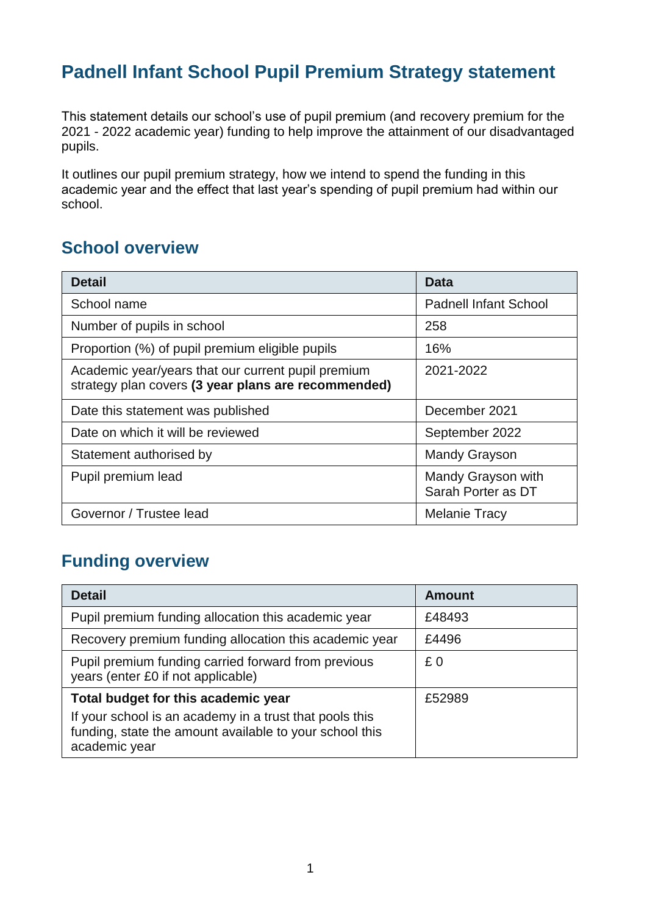## **Padnell Infant School Pupil Premium Strategy statement**

This statement details our school's use of pupil premium (and recovery premium for the 2021 - 2022 academic year) funding to help improve the attainment of our disadvantaged pupils.

It outlines our pupil premium strategy, how we intend to spend the funding in this academic year and the effect that last year's spending of pupil premium had within our school.

#### **School overview**

| <b>Detail</b>                                                                                             | Data                                     |
|-----------------------------------------------------------------------------------------------------------|------------------------------------------|
| School name                                                                                               | <b>Padnell Infant School</b>             |
| Number of pupils in school                                                                                | 258                                      |
| Proportion (%) of pupil premium eligible pupils                                                           | 16%                                      |
| Academic year/years that our current pupil premium<br>strategy plan covers (3 year plans are recommended) | 2021-2022                                |
| Date this statement was published                                                                         | December 2021                            |
| Date on which it will be reviewed                                                                         | September 2022                           |
| Statement authorised by                                                                                   | <b>Mandy Grayson</b>                     |
| Pupil premium lead                                                                                        | Mandy Grayson with<br>Sarah Porter as DT |
| Governor / Trustee lead                                                                                   | <b>Melanie Tracy</b>                     |

### **Funding overview**

| <b>Detail</b>                                                                                                                                                              | <b>Amount</b> |
|----------------------------------------------------------------------------------------------------------------------------------------------------------------------------|---------------|
| Pupil premium funding allocation this academic year                                                                                                                        | £48493        |
| Recovery premium funding allocation this academic year                                                                                                                     | £4496         |
| Pupil premium funding carried forward from previous<br>years (enter £0 if not applicable)                                                                                  | £0            |
| Total budget for this academic year<br>If your school is an academy in a trust that pools this<br>funding, state the amount available to your school this<br>academic year | £52989        |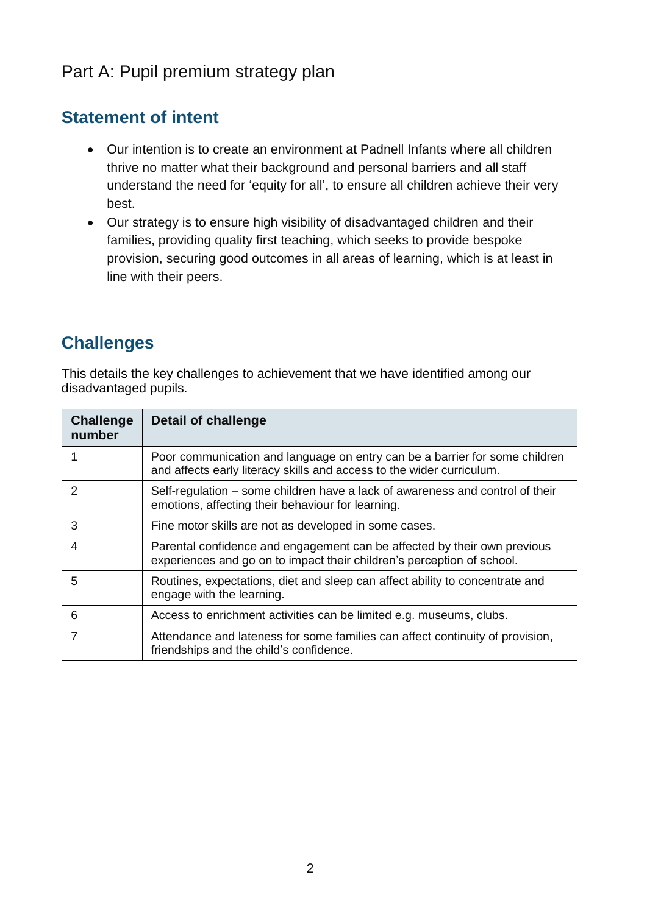### Part A: Pupil premium strategy plan

#### **Statement of intent**

- Our intention is to create an environment at Padnell Infants where all children thrive no matter what their background and personal barriers and all staff understand the need for 'equity for all', to ensure all children achieve their very best.
- Our strategy is to ensure high visibility of disadvantaged children and their families, providing quality first teaching, which seeks to provide bespoke provision, securing good outcomes in all areas of learning, which is at least in line with their peers.

## **Challenges**

This details the key challenges to achievement that we have identified among our disadvantaged pupils.

| <b>Challenge</b><br>number | <b>Detail of challenge</b>                                                                                                                           |
|----------------------------|------------------------------------------------------------------------------------------------------------------------------------------------------|
|                            | Poor communication and language on entry can be a barrier for some children<br>and affects early literacy skills and access to the wider curriculum. |
| $\mathcal{P}$              | Self-regulation – some children have a lack of awareness and control of their<br>emotions, affecting their behaviour for learning.                   |
| 3                          | Fine motor skills are not as developed in some cases.                                                                                                |
| 4                          | Parental confidence and engagement can be affected by their own previous<br>experiences and go on to impact their children's perception of school.   |
| 5                          | Routines, expectations, diet and sleep can affect ability to concentrate and<br>engage with the learning.                                            |
| 6                          | Access to enrichment activities can be limited e.g. museums, clubs.                                                                                  |
|                            | Attendance and lateness for some families can affect continuity of provision,<br>friendships and the child's confidence.                             |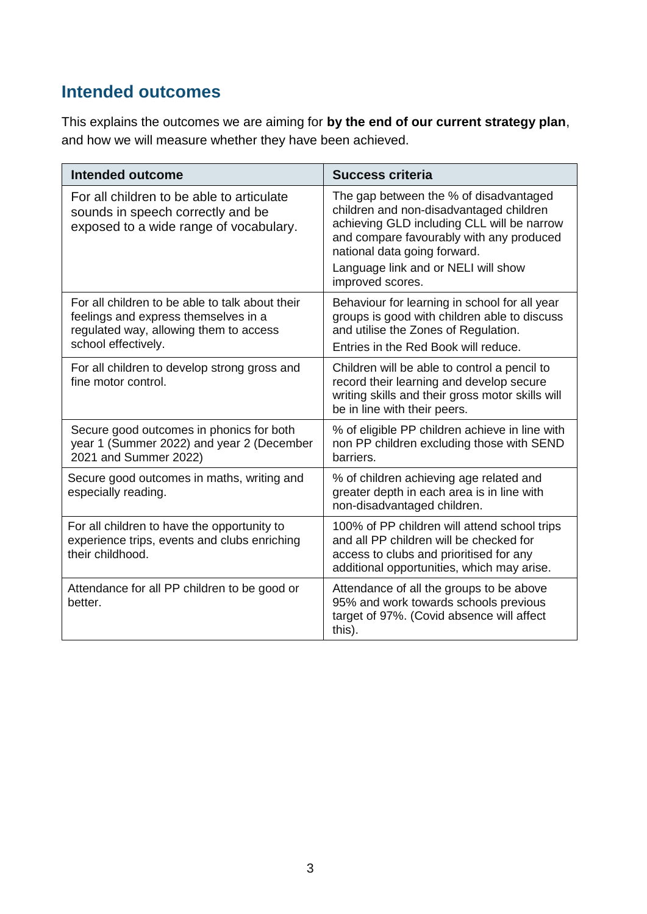### **Intended outcomes**

This explains the outcomes we are aiming for **by the end of our current strategy plan**, and how we will measure whether they have been achieved.

| <b>Intended outcome</b>                                                                                                                                  | <b>Success criteria</b>                                                                                                                                                                                                                                                |
|----------------------------------------------------------------------------------------------------------------------------------------------------------|------------------------------------------------------------------------------------------------------------------------------------------------------------------------------------------------------------------------------------------------------------------------|
| For all children to be able to articulate<br>sounds in speech correctly and be<br>exposed to a wide range of vocabulary.                                 | The gap between the % of disadvantaged<br>children and non-disadvantaged children<br>achieving GLD including CLL will be narrow<br>and compare favourably with any produced<br>national data going forward.<br>Language link and or NELI will show<br>improved scores. |
| For all children to be able to talk about their<br>feelings and express themselves in a<br>regulated way, allowing them to access<br>school effectively. | Behaviour for learning in school for all year<br>groups is good with children able to discuss<br>and utilise the Zones of Regulation.<br>Entries in the Red Book will reduce.                                                                                          |
| For all children to develop strong gross and<br>fine motor control.                                                                                      | Children will be able to control a pencil to<br>record their learning and develop secure<br>writing skills and their gross motor skills will<br>be in line with their peers.                                                                                           |
| Secure good outcomes in phonics for both<br>year 1 (Summer 2022) and year 2 (December<br>2021 and Summer 2022)                                           | % of eligible PP children achieve in line with<br>non PP children excluding those with SEND<br>barriers.                                                                                                                                                               |
| Secure good outcomes in maths, writing and<br>especially reading.                                                                                        | % of children achieving age related and<br>greater depth in each area is in line with<br>non-disadvantaged children.                                                                                                                                                   |
| For all children to have the opportunity to<br>experience trips, events and clubs enriching<br>their childhood.                                          | 100% of PP children will attend school trips<br>and all PP children will be checked for<br>access to clubs and prioritised for any<br>additional opportunities, which may arise.                                                                                       |
| Attendance for all PP children to be good or<br>better.                                                                                                  | Attendance of all the groups to be above<br>95% and work towards schools previous<br>target of 97%. (Covid absence will affect<br>this).                                                                                                                               |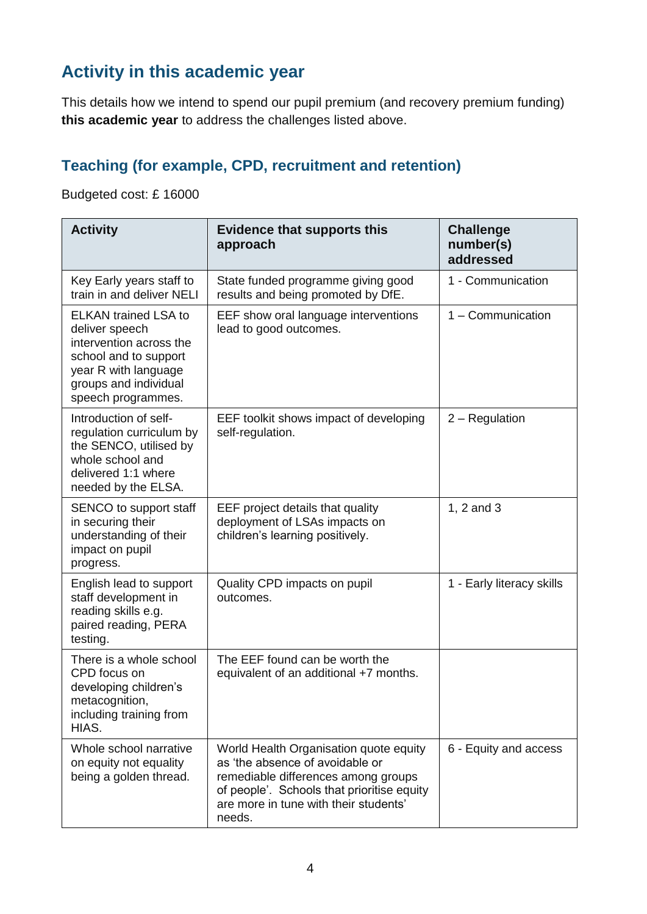## **Activity in this academic year**

This details how we intend to spend our pupil premium (and recovery premium funding) **this academic year** to address the challenges listed above.

### **Teaching (for example, CPD, recruitment and retention)**

Budgeted cost: £ 16000

| <b>Activity</b>                                                                                                                                                          | <b>Evidence that supports this</b><br>approach                                                                                                                                                                    | <b>Challenge</b><br>number(s)<br>addressed |
|--------------------------------------------------------------------------------------------------------------------------------------------------------------------------|-------------------------------------------------------------------------------------------------------------------------------------------------------------------------------------------------------------------|--------------------------------------------|
| Key Early years staff to<br>train in and deliver NELI                                                                                                                    | State funded programme giving good<br>results and being promoted by DfE.                                                                                                                                          | 1 - Communication                          |
| <b>ELKAN trained LSA to</b><br>deliver speech<br>intervention across the<br>school and to support<br>year R with language<br>groups and individual<br>speech programmes. | EEF show oral language interventions<br>lead to good outcomes.                                                                                                                                                    | 1 - Communication                          |
| Introduction of self-<br>regulation curriculum by<br>the SENCO, utilised by<br>whole school and<br>delivered 1:1 where<br>needed by the ELSA.                            | EEF toolkit shows impact of developing<br>self-regulation.                                                                                                                                                        | 2 – Regulation                             |
| SENCO to support staff<br>in securing their<br>understanding of their<br>impact on pupil<br>progress.                                                                    | EEF project details that quality<br>deployment of LSAs impacts on<br>children's learning positively.                                                                                                              | 1, 2 and 3                                 |
| English lead to support<br>staff development in<br>reading skills e.g.<br>paired reading, PERA<br>testing.                                                               | Quality CPD impacts on pupil<br>outcomes.                                                                                                                                                                         | 1 - Early literacy skills                  |
| There is a whole school<br>CPD focus on<br>developing children's<br>metacognition,<br>including training from<br>HIAS.                                                   | The EEF found can be worth the<br>equivalent of an additional +7 months.                                                                                                                                          |                                            |
| Whole school narrative<br>on equity not equality<br>being a golden thread.                                                                                               | World Health Organisation quote equity<br>as 'the absence of avoidable or<br>remediable differences among groups<br>of people'. Schools that prioritise equity<br>are more in tune with their students'<br>needs. | 6 - Equity and access                      |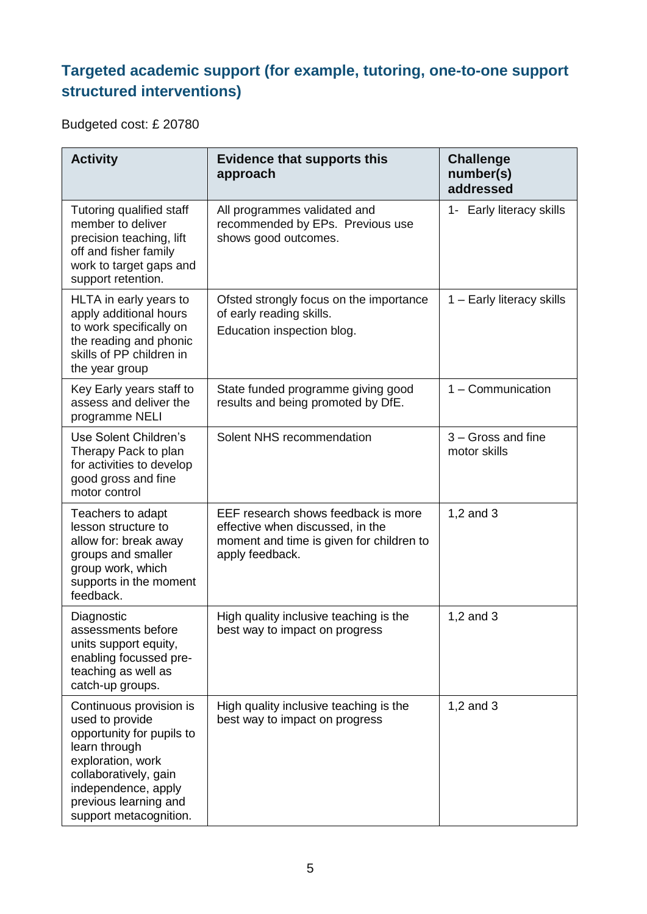### **Targeted academic support (for example, tutoring, one-to-one support structured interventions)**

Budgeted cost: £ 20780

| <b>Activity</b>                                                                                                                                                                                                  | <b>Evidence that supports this</b><br>approach                                                                                         | <b>Challenge</b><br>number(s)<br>addressed |
|------------------------------------------------------------------------------------------------------------------------------------------------------------------------------------------------------------------|----------------------------------------------------------------------------------------------------------------------------------------|--------------------------------------------|
| Tutoring qualified staff<br>member to deliver<br>precision teaching, lift<br>off and fisher family<br>work to target gaps and<br>support retention.                                                              | All programmes validated and<br>recommended by EPs. Previous use<br>shows good outcomes.                                               | 1- Early literacy skills                   |
| HLTA in early years to<br>apply additional hours<br>to work specifically on<br>the reading and phonic<br>skills of PP children in<br>the year group                                                              | Ofsted strongly focus on the importance<br>of early reading skills.<br>Education inspection blog.                                      | 1 - Early literacy skills                  |
| Key Early years staff to<br>assess and deliver the<br>programme NELI                                                                                                                                             | State funded programme giving good<br>results and being promoted by DfE.                                                               | 1 - Communication                          |
| Use Solent Children's<br>Therapy Pack to plan<br>for activities to develop<br>good gross and fine<br>motor control                                                                                               | Solent NHS recommendation                                                                                                              | 3 - Gross and fine<br>motor skills         |
| Teachers to adapt<br>lesson structure to<br>allow for: break away<br>groups and smaller<br>group work, which<br>supports in the moment<br>feedback.                                                              | EEF research shows feedback is more<br>effective when discussed, in the<br>moment and time is given for children to<br>apply feedback. | 1,2 and 3                                  |
| Diagnostic<br>assessments before<br>units support equity,<br>enabling focussed pre-<br>teaching as well as<br>catch-up groups.                                                                                   | High quality inclusive teaching is the<br>best way to impact on progress                                                               | 1,2 and $3$                                |
| Continuous provision is<br>used to provide<br>opportunity for pupils to<br>learn through<br>exploration, work<br>collaboratively, gain<br>independence, apply<br>previous learning and<br>support metacognition. | High quality inclusive teaching is the<br>best way to impact on progress                                                               | $1,2$ and $3$                              |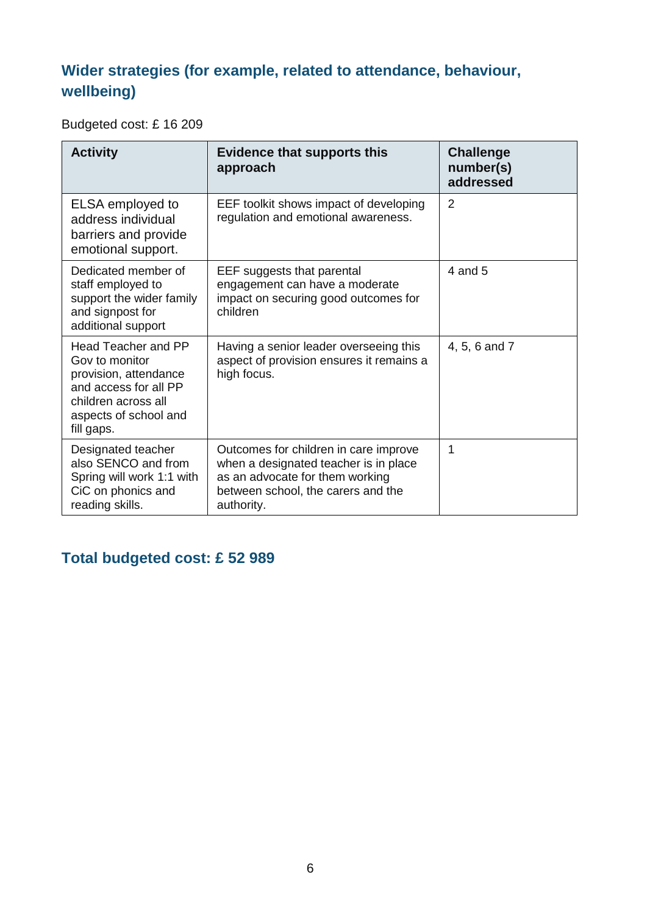### **Wider strategies (for example, related to attendance, behaviour, wellbeing)**

Budgeted cost: £ 16 209

| <b>Activity</b>                                                                                                                                              | <b>Evidence that supports this</b><br>approach                                                                                                                        | <b>Challenge</b><br>number(s)<br>addressed |
|--------------------------------------------------------------------------------------------------------------------------------------------------------------|-----------------------------------------------------------------------------------------------------------------------------------------------------------------------|--------------------------------------------|
| ELSA employed to<br>address individual<br>barriers and provide<br>emotional support.                                                                         | EEF toolkit shows impact of developing<br>regulation and emotional awareness.                                                                                         | 2                                          |
| Dedicated member of<br>staff employed to<br>support the wider family<br>and signpost for<br>additional support                                               | EEF suggests that parental<br>engagement can have a moderate<br>impact on securing good outcomes for<br>children                                                      | 4 and 5                                    |
| <b>Head Teacher and PP</b><br>Gov to monitor<br>provision, attendance<br>and access for all PP<br>children across all<br>aspects of school and<br>fill gaps. | Having a senior leader overseeing this<br>aspect of provision ensures it remains a<br>high focus.                                                                     | 4, 5, 6 and 7                              |
| Designated teacher<br>also SENCO and from<br>Spring will work 1:1 with<br>CiC on phonics and<br>reading skills.                                              | Outcomes for children in care improve<br>when a designated teacher is in place<br>as an advocate for them working<br>between school, the carers and the<br>authority. | 1                                          |

### **Total budgeted cost: £ 52 989**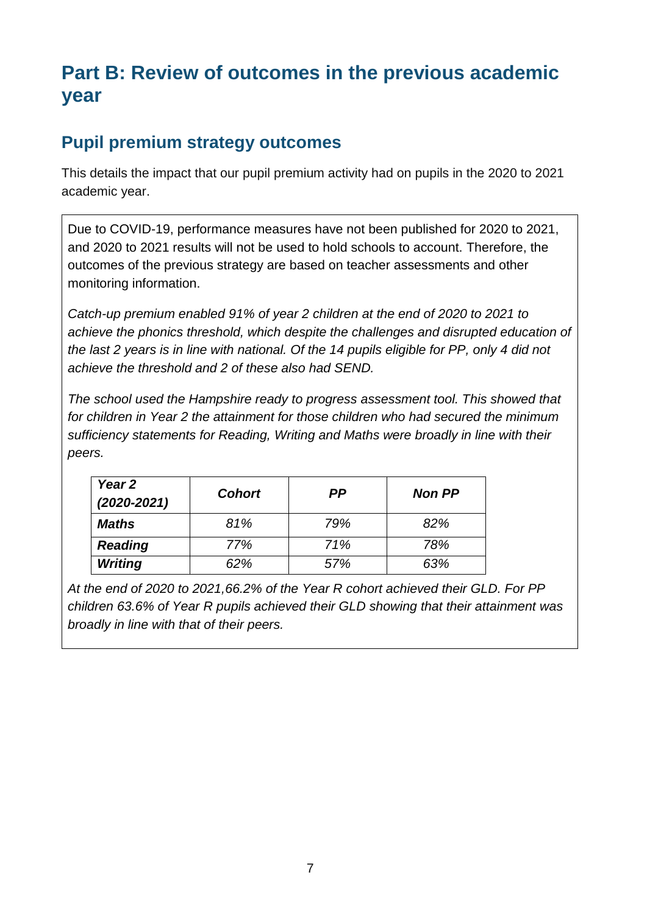# **Part B: Review of outcomes in the previous academic year**

#### **Pupil premium strategy outcomes**

This details the impact that our pupil premium activity had on pupils in the 2020 to 2021 academic year.

Due to COVID-19, performance measures have not been published for 2020 to 2021, and 2020 to 2021 results will not be used to hold schools to account. Therefore, the outcomes of the previous strategy are based on teacher assessments and other monitoring information.

*Catch-up premium enabled 91% of year 2 children at the end of 2020 to 2021 to achieve the phonics threshold, which despite the challenges and disrupted education of the last 2 years is in line with national. Of the 14 pupils eligible for PP, only 4 did not achieve the threshold and 2 of these also had SEND.* 

*The school used the Hampshire ready to progress assessment tool. This showed that for children in Year 2 the attainment for those children who had secured the minimum sufficiency statements for Reading, Writing and Maths were broadly in line with their peers.* 

| Year 2<br>$(2020 - 2021)$ | <b>Cohort</b> | РP  | <b>Non PP</b> |
|---------------------------|---------------|-----|---------------|
| Maths                     | 81%           | 79% | 82%           |
| <b>Reading</b>            | 77%           | 71% | 78%           |
| <b>Writing</b>            | 62%           | 57% | 63%           |

*At the end of 2020 to 2021,66.2% of the Year R cohort achieved their GLD. For PP children 63.6% of Year R pupils achieved their GLD showing that their attainment was broadly in line with that of their peers.*